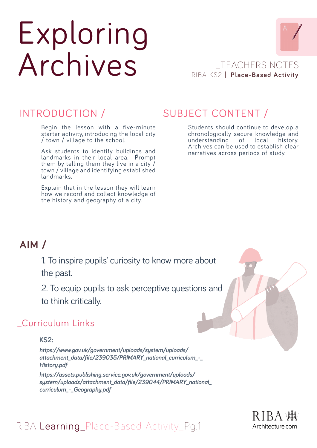# Exploring Archives



## RIBA KS2 **| Place-Based Activity** \_TEACHERS NOTES

## INTRODUCTION /

Begin the lesson with a five-minute starter activity, introducing the local city / town / village to the school.

Ask students to identify buildings and landmarks in their local area. Prompt them by telling them they live in a city / town / village and identifying established landmarks.

Explain that in the lesson they will learn how we record and collect knowledge of the history and geography of a city.

## SUBJECT CONTENT /

Students should continue to develop a chronologically secure knowledge and understanding of local history. Archives can be used to establish clear narratives across periods of study.

## **AIM /**

1. To inspire pupils' curiosity to know more about the past.

2. To equip pupils to ask perceptive questions and to think critically.

## \_Curriculum Links

**KS2:**

*https://www.gov.uk/government/uploads/system/uploads/ attachment\_data/file/239035/PRIMARY\_national\_curriculum\_-\_ History.pdf*

*https://assets.publishing.service.gov.uk/government/uploads/ system/uploads/attachment\_data/file/239044/PRIMARY\_national\_ curriculum\_-\_Geography.pdf* 



## RIBA Learning\_Place-Based Activity\_Pg.1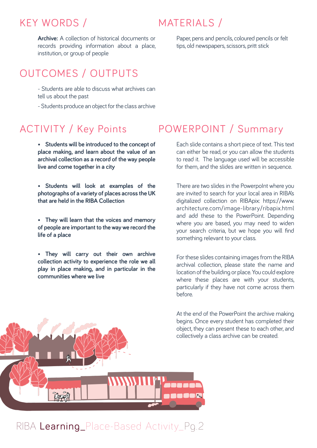## KEY WORDS /

## MATERIALS /

**Archive:** A collection of historical documents or records providing information about a place, institution, or group of people

## OUTCOMES / OUTPUTS

- Students are able to discuss what archives can tell us about the past

- Students produce an object for the class archive

- **• Students will be introduced to the concept of place making, and learn about the value of an archival collection as a record of the way people live and come together in a city**
- **• Students will look at examples of the photographs of a variety of places across the UK that are held in the RIBA Collection**
- **• They will learn that the voices and memory of people are important to the way we record the life of a place**
- **• They will carry out their own archive collection activity to experience the role we all play in place making, and in particular in the communities where we live**

## ACTIVITY / Key Points POWERPOINT / Summary

Each slide contains a short piece of text. This text can either be read, or you can allow the students to read it. The language used will be accessible for them, and the slides are written in sequence.

Paper, pens and pencils, coloured pencils or felt

tips, old newspapers, scissors, pritt stick

There are two slides in the PowerpoInt where you are invited to search for your local area in RIBA's digitalized collection on RIBApix: https://www. architecture.com/image-library/ribapix.html and add these to the PowerPoint. Depending where you are based, you may need to widen your search criteria, but we hope you will find something relevant to your class.

For these slides containing images from the RIBA archival collection, please state the name and location of the building or place. You could explore where these places are with your students, particularly if they have not come across them before.

At the end of the PowerPoint the archive making begins. Once every student has completed their object, they can present these to each other, and collectively a class archive can be created.



## RIBA Learning\_Place-Based Activity\_Pq.2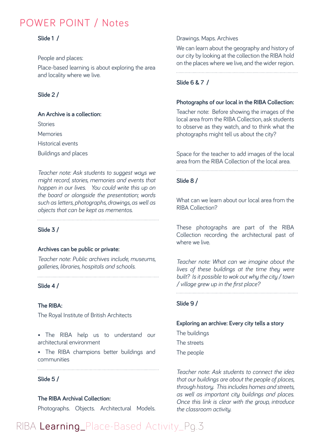## POWER POINT / Notes

#### **Slide 1 /**

People and places:

Place-based learning is about exploring the area and locality where we live.

#### **Slide 2 /**

**An Archive is a collection: Stories Memories** Historical events

Buildings and places

*Teacher note: Ask students to suggest ways we might record, stories, memories and events that happen in our lives. You could write this up on the board or alongside the presentation; words such as letters, photographs, drawings, as well as objects that can be kept as mementos.*

**Slide 3 /**

#### **Archives can be public or private:**

*Teacher note: Public archives include, museums, galleries, libraries, hospitals and schools.*

### **Slide 4 /**

#### **The RIBA:**

The Royal Institute of British Architects

- The RIBA help us to understand our architectural environment
- The RIBA champions better buildings and communities

#### **Slide 5 /**

#### **The RIBA Archival Collection:**

Photographs. Objects. Architectural Models.

#### Drawings. Maps. Archives

We can learn about the geography and history of our city by looking at the collection the RIBA hold on the places where we live, and the wider region.

#### **Slide 6 & 7 /**

#### **Photographs of our local in the RIBA Collection:**

Teacher note: Before showing the images of the local area from the RIBA Collection, ask students to observe as they watch, and to think what the photographs might tell us about the city?

Space for the teacher to add images of the local area from the RIBA Collection of the local area.

#### **Slide 8 /**

What can we learn about our local area from the RIBA Collection?

These photographs are part of the RIBA Collection recording the architectural past of where we live.

*Teacher note: What can we imagine about the lives of these buildings at the time they were built? Is it possible to wok out why the city / town / village grew up in the first place?* 

#### **Slide 9 /**

#### **Exploring an archive: Every city tells a story**

The buildings

The streets

The people

*Teacher note: Ask students to connect the idea that our buildings are about the people of places, through history. This includes homes and streets, as well as important city buildings and places. Once this link is clear with the group, introduce the classroom activity.*

## RIBA Learning\_Place-Based Activity\_Pq.3